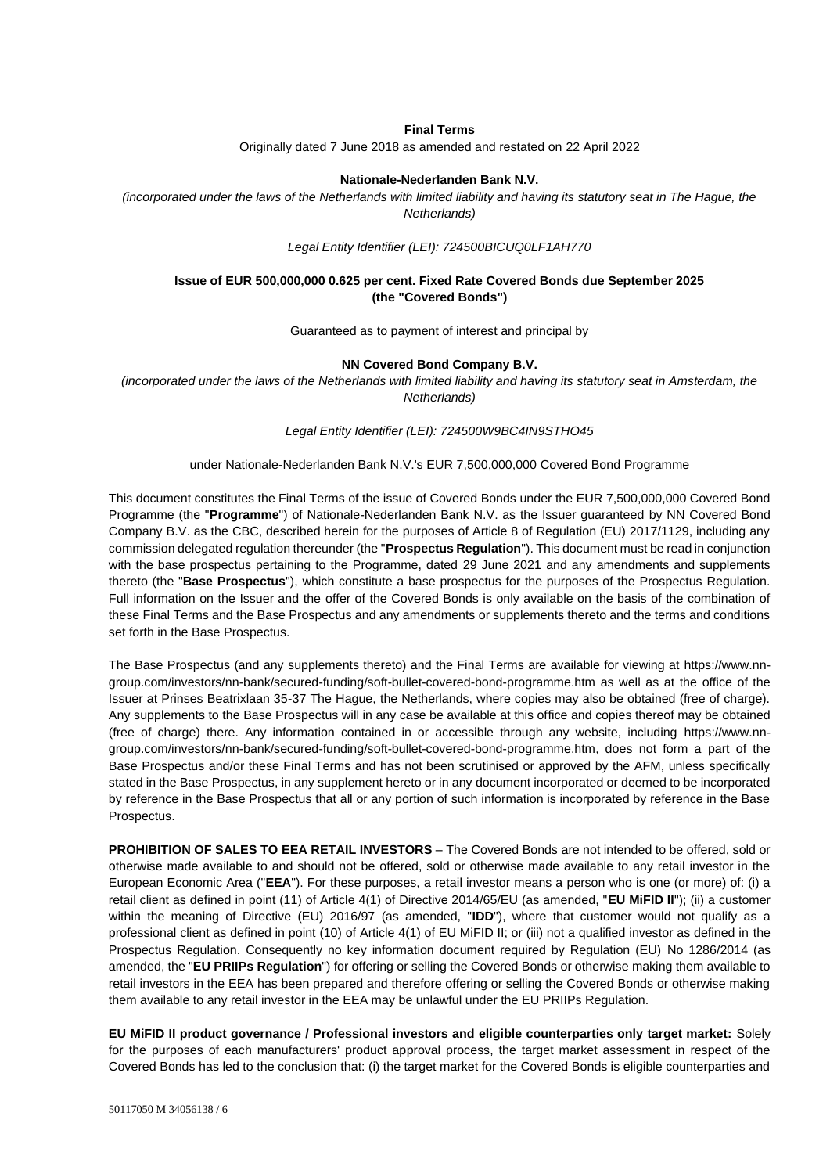### **Final Terms**

Originally dated 7 June 2018 as amended and restated on 22 April 2022

#### **Nationale-Nederlanden Bank N.V.**

*(incorporated under the laws of the Netherlands with limited liability and having its statutory seat in The Hague, the Netherlands)*

*Legal Entity Identifier (LEI): 724500BICUQ0LF1AH770*

## **Issue of EUR 500,000,000 0.625 per cent. Fixed Rate Covered Bonds due September 2025 (the "Covered Bonds")**

Guaranteed as to payment of interest and principal by

### **NN Covered Bond Company B.V.**

*(incorporated under the laws of the Netherlands with limited liability and having its statutory seat in Amsterdam, the Netherlands)*

*Legal Entity Identifier (LEI): 724500W9BC4IN9STHO45*

#### under Nationale-Nederlanden Bank N.V.'s EUR 7,500,000,000 Covered Bond Programme

This document constitutes the Final Terms of the issue of Covered Bonds under the EUR 7,500,000,000 Covered Bond Programme (the "**Programme**") of Nationale-Nederlanden Bank N.V. as the Issuer guaranteed by NN Covered Bond Company B.V. as the CBC, described herein for the purposes of Article 8 of Regulation (EU) 2017/1129, including any commission delegated regulation thereunder (the "**Prospectus Regulation**"). This document must be read in conjunction with the base prospectus pertaining to the Programme, dated 29 June 2021 and any amendments and supplements thereto (the "**Base Prospectus**"), which constitute a base prospectus for the purposes of the Prospectus Regulation. Full information on the Issuer and the offer of the Covered Bonds is only available on the basis of the combination of these Final Terms and the Base Prospectus and any amendments or supplements thereto and the terms and conditions set forth in the Base Prospectus.

The Base Prospectus (and any supplements thereto) and the Final Terms are available for viewing at [https://www.nn](https://www.nn-group.com/investors/nn-bank/secured-funding/soft-bullet-covered-bond-programme.htm)[group.com/investors/nn-bank/secured-funding/soft-bullet-covered-bond-programme.htm](https://www.nn-group.com/investors/nn-bank/secured-funding/soft-bullet-covered-bond-programme.htm) as well as at the office of the Issuer at Prinses Beatrixlaan 35-37 The Hague, the Netherlands, where copies may also be obtained (free of charge). Any supplements to the Base Prospectus will in any case be available at this office and copies thereof may be obtained (free of charge) there. Any information contained in or accessible through any website, including [https://www.nn](https://www.nn-group.com/investors/nn-bank/secured-funding/soft-bullet-covered-bond-programme.htm)[group.com/investors/nn-bank/secured-funding/soft-bullet-covered-bond-programme.htm,](https://www.nn-group.com/investors/nn-bank/secured-funding/soft-bullet-covered-bond-programme.htm) does not form a part of the Base Prospectus and/or these Final Terms and has not been scrutinised or approved by the AFM, unless specifically stated in the Base Prospectus, in any supplement hereto or in any document incorporated or deemed to be incorporated by reference in the Base Prospectus that all or any portion of such information is incorporated by reference in the Base Prospectus.

**PROHIBITION OF SALES TO EEA RETAIL INVESTORS** – The Covered Bonds are not intended to be offered, sold or otherwise made available to and should not be offered, sold or otherwise made available to any retail investor in the European Economic Area ("**EEA**"). For these purposes, a retail investor means a person who is one (or more) of: (i) a retail client as defined in point (11) of Article 4(1) of Directive 2014/65/EU (as amended, "**EU MiFID II**"); (ii) a customer within the meaning of Directive (EU) 2016/97 (as amended, "**IDD**"), where that customer would not qualify as a professional client as defined in point (10) of Article 4(1) of EU MiFID II; or (iii) not a qualified investor as defined in the Prospectus Regulation. Consequently no key information document required by Regulation (EU) No 1286/2014 (as amended, the "**EU PRIIPs Regulation**") for offering or selling the Covered Bonds or otherwise making them available to retail investors in the EEA has been prepared and therefore offering or selling the Covered Bonds or otherwise making them available to any retail investor in the EEA may be unlawful under the EU PRIIPs Regulation.

**EU MiFID II product governance / Professional investors and eligible counterparties only target market:** Solely for the purposes of each manufacturers' product approval process, the target market assessment in respect of the Covered Bonds has led to the conclusion that: (i) the target market for the Covered Bonds is eligible counterparties and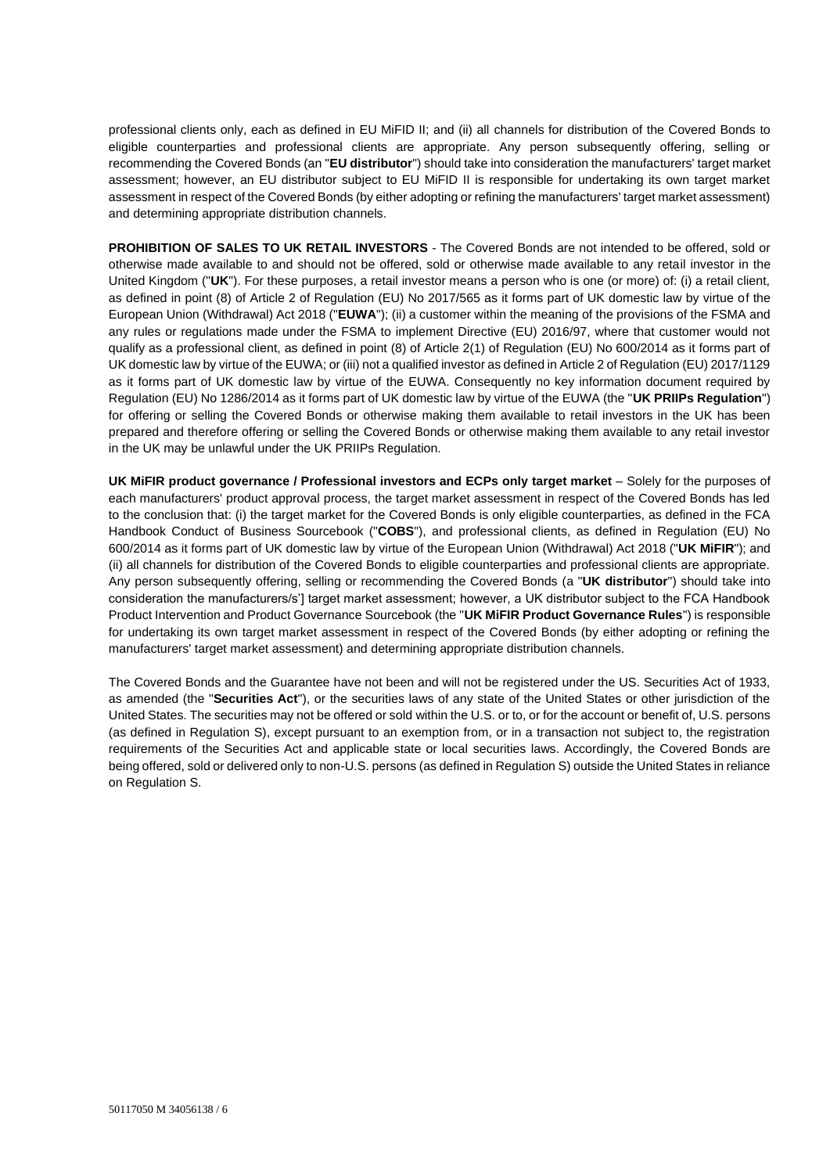professional clients only, each as defined in EU MiFID II; and (ii) all channels for distribution of the Covered Bonds to eligible counterparties and professional clients are appropriate. Any person subsequently offering, selling or recommending the Covered Bonds (an "**EU distributor**") should take into consideration the manufacturers' target market assessment; however, an EU distributor subject to EU MiFID II is responsible for undertaking its own target market assessment in respect of the Covered Bonds (by either adopting or refining the manufacturers' target market assessment) and determining appropriate distribution channels.

**PROHIBITION OF SALES TO UK RETAIL INVESTORS** - The Covered Bonds are not intended to be offered, sold or otherwise made available to and should not be offered, sold or otherwise made available to any retail investor in the United Kingdom ("**UK**"). For these purposes, a retail investor means a person who is one (or more) of: (i) a retail client, as defined in point (8) of Article 2 of Regulation (EU) No 2017/565 as it forms part of UK domestic law by virtue of the European Union (Withdrawal) Act 2018 ("**EUWA**"); (ii) a customer within the meaning of the provisions of the FSMA and any rules or regulations made under the FSMA to implement Directive (EU) 2016/97, where that customer would not qualify as a professional client, as defined in point (8) of Article 2(1) of Regulation (EU) No 600/2014 as it forms part of UK domestic law by virtue of the EUWA; or (iii) not a qualified investor as defined in Article 2 of Regulation (EU) 2017/1129 as it forms part of UK domestic law by virtue of the EUWA. Consequently no key information document required by Regulation (EU) No 1286/2014 as it forms part of UK domestic law by virtue of the EUWA (the "**UK PRIIPs Regulation**") for offering or selling the Covered Bonds or otherwise making them available to retail investors in the UK has been prepared and therefore offering or selling the Covered Bonds or otherwise making them available to any retail investor in the UK may be unlawful under the UK PRIIPs Regulation.

**UK MiFIR product governance / Professional investors and ECPs only target market** – Solely for the purposes of each manufacturers' product approval process, the target market assessment in respect of the Covered Bonds has led to the conclusion that: (i) the target market for the Covered Bonds is only eligible counterparties, as defined in the FCA Handbook Conduct of Business Sourcebook ("**COBS**"), and professional clients, as defined in Regulation (EU) No 600/2014 as it forms part of UK domestic law by virtue of the European Union (Withdrawal) Act 2018 ("**UK MiFIR**"); and (ii) all channels for distribution of the Covered Bonds to eligible counterparties and professional clients are appropriate. Any person subsequently offering, selling or recommending the Covered Bonds (a "**UK distributor**") should take into consideration the manufacturers/s'] target market assessment; however, a UK distributor subject to the FCA Handbook Product Intervention and Product Governance Sourcebook (the "**UK MiFIR Product Governance Rules**") is responsible for undertaking its own target market assessment in respect of the Covered Bonds (by either adopting or refining the manufacturers' target market assessment) and determining appropriate distribution channels.

The Covered Bonds and the Guarantee have not been and will not be registered under the US. Securities Act of 1933, as amended (the "**Securities Act**"), or the securities laws of any state of the United States or other jurisdiction of the United States. The securities may not be offered or sold within the U.S. or to, or for the account or benefit of, U.S. persons (as defined in Regulation S), except pursuant to an exemption from, or in a transaction not subject to, the registration requirements of the Securities Act and applicable state or local securities laws. Accordingly, the Covered Bonds are being offered, sold or delivered only to non-U.S. persons (as defined in Regulation S) outside the United States in reliance on Regulation S.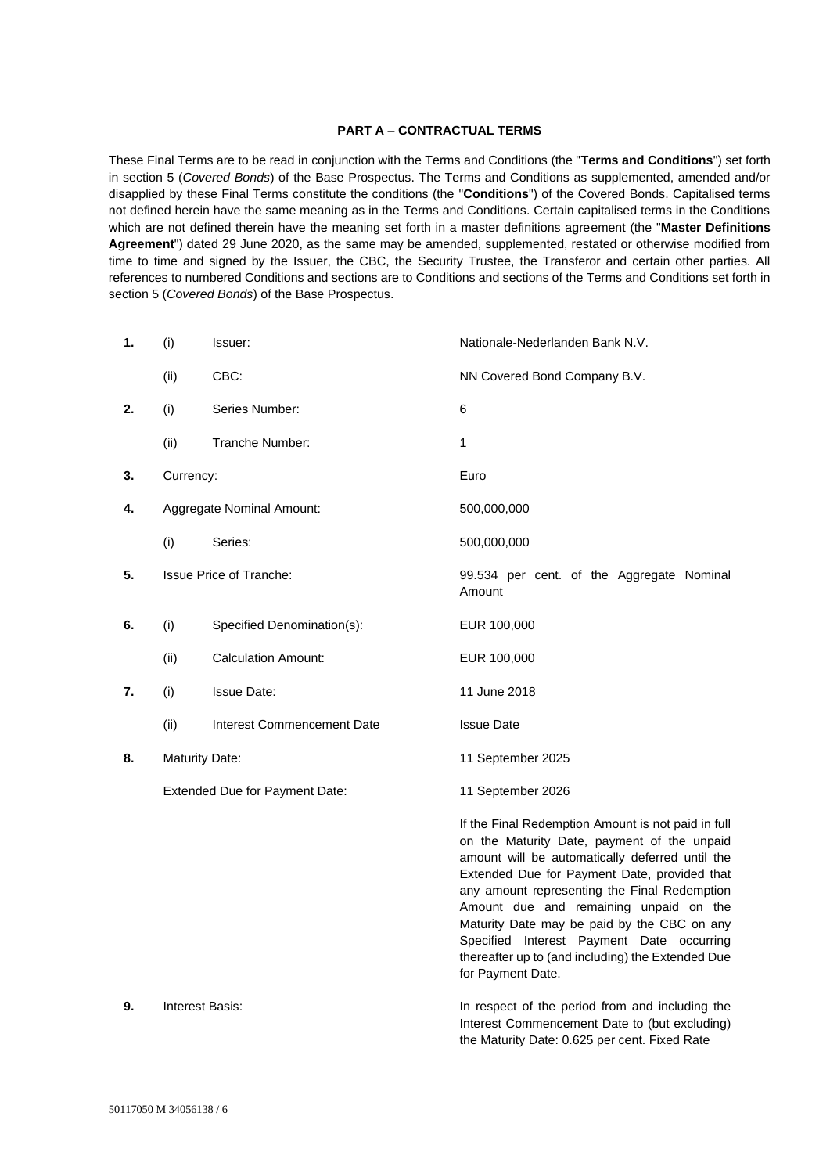## **PART A – CONTRACTUAL TERMS**

These Final Terms are to be read in conjunction with the Terms and Conditions (the "**Terms and Conditions**") set forth in section 5 (*Covered Bonds*) of the Base Prospectus. The Terms and Conditions as supplemented, amended and/or disapplied by these Final Terms constitute the conditions (the "**Conditions**") of the Covered Bonds. Capitalised terms not defined herein have the same meaning as in the Terms and Conditions. Certain capitalised terms in the Conditions which are not defined therein have the meaning set forth in a master definitions agreement (the "**Master Definitions Agreement**") dated 29 June 2020, as the same may be amended, supplemented, restated or otherwise modified from time to time and signed by the Issuer, the CBC, the Security Trustee, the Transferor and certain other parties. All references to numbered Conditions and sections are to Conditions and sections of the Terms and Conditions set forth in section 5 (*Covered Bonds*) of the Base Prospectus.

| 1. | (i)                            | Issuer:                    | Nationale-Nederlanden Bank N.V.                                                                                                                                                                                                                                                                                                                                                                                                                                      |
|----|--------------------------------|----------------------------|----------------------------------------------------------------------------------------------------------------------------------------------------------------------------------------------------------------------------------------------------------------------------------------------------------------------------------------------------------------------------------------------------------------------------------------------------------------------|
|    | (ii)                           | CBC:                       | NN Covered Bond Company B.V.                                                                                                                                                                                                                                                                                                                                                                                                                                         |
| 2. | (i)                            | Series Number:             | 6                                                                                                                                                                                                                                                                                                                                                                                                                                                                    |
|    | (ii)                           | Tranche Number:            | 1                                                                                                                                                                                                                                                                                                                                                                                                                                                                    |
| 3. | Currency:                      |                            | Euro                                                                                                                                                                                                                                                                                                                                                                                                                                                                 |
| 4. | Aggregate Nominal Amount:      |                            | 500,000,000                                                                                                                                                                                                                                                                                                                                                                                                                                                          |
|    | (i)                            | Series:                    | 500,000,000                                                                                                                                                                                                                                                                                                                                                                                                                                                          |
| 5. | <b>Issue Price of Tranche:</b> |                            | 99.534 per cent. of the Aggregate Nominal<br>Amount                                                                                                                                                                                                                                                                                                                                                                                                                  |
| 6. | (i)                            | Specified Denomination(s): | EUR 100,000                                                                                                                                                                                                                                                                                                                                                                                                                                                          |
|    | (ii)                           | <b>Calculation Amount:</b> | EUR 100,000                                                                                                                                                                                                                                                                                                                                                                                                                                                          |
| 7. | (i)                            | <b>Issue Date:</b>         | 11 June 2018                                                                                                                                                                                                                                                                                                                                                                                                                                                         |
|    | (ii)                           | Interest Commencement Date | <b>Issue Date</b>                                                                                                                                                                                                                                                                                                                                                                                                                                                    |
| 8. | <b>Maturity Date:</b>          |                            | 11 September 2025                                                                                                                                                                                                                                                                                                                                                                                                                                                    |
|    | Extended Due for Payment Date: |                            | 11 September 2026                                                                                                                                                                                                                                                                                                                                                                                                                                                    |
|    |                                |                            | If the Final Redemption Amount is not paid in full<br>on the Maturity Date, payment of the unpaid<br>amount will be automatically deferred until the<br>Extended Due for Payment Date, provided that<br>any amount representing the Final Redemption<br>Amount due and remaining unpaid on the<br>Maturity Date may be paid by the CBC on any<br>Specified Interest Payment Date occurring<br>thereafter up to (and including) the Extended Due<br>for Payment Date. |
| 9. | Interest Basis:                |                            | In respect of the period from and including the<br>Interest Commencement Date to (but excluding)<br>the Maturity Date: 0.625 per cent. Fixed Rate                                                                                                                                                                                                                                                                                                                    |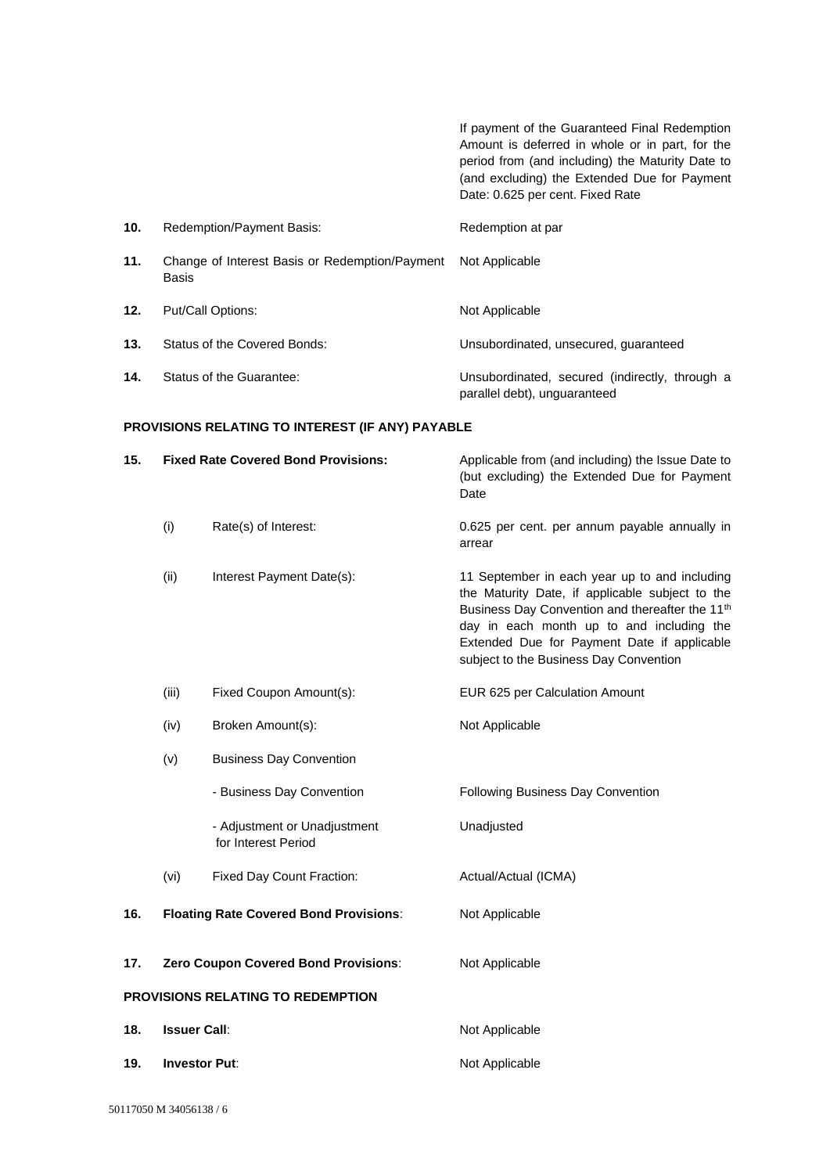If payment of the Guaranteed Final Redemption Amount is deferred in whole or in part, for the period from (and including) the Maturity Date to (and excluding) the Extended Due for Payment Date: 0.625 per cent. Fixed Rate **10.** Redemption/Payment Basis: Redemption at par **11.** Change of Interest Basis or Redemption/Payment Basis Not Applicable 12. Put/Call Options: Not Applicable **13.** Status of the Covered Bonds: Unsubordinated, unsecured, guaranteed **14.** Status of the Guarantee: Unsubordinated, secured (indirectly, through a parallel debt), unguaranteed

### **PROVISIONS RELATING TO INTEREST (IF ANY) PAYABLE**

| 15. | <b>Fixed Rate Covered Bond Provisions:</b> |                                                     | Applicable from (and including) the Issue Date to<br>(but excluding) the Extended Due for Payment<br>Date                                                                                                                                                                                             |
|-----|--------------------------------------------|-----------------------------------------------------|-------------------------------------------------------------------------------------------------------------------------------------------------------------------------------------------------------------------------------------------------------------------------------------------------------|
|     | (i)                                        | Rate(s) of Interest:                                | 0.625 per cent. per annum payable annually in<br>arrear                                                                                                                                                                                                                                               |
|     | (ii)                                       | Interest Payment Date(s):                           | 11 September in each year up to and including<br>the Maturity Date, if applicable subject to the<br>Business Day Convention and thereafter the 11 <sup>th</sup><br>day in each month up to and including the<br>Extended Due for Payment Date if applicable<br>subject to the Business Day Convention |
|     | (iii)                                      | Fixed Coupon Amount(s):                             | EUR 625 per Calculation Amount                                                                                                                                                                                                                                                                        |
|     | (iv)                                       | Broken Amount(s):                                   | Not Applicable                                                                                                                                                                                                                                                                                        |
|     | (v)                                        | <b>Business Day Convention</b>                      |                                                                                                                                                                                                                                                                                                       |
|     |                                            | - Business Day Convention                           | Following Business Day Convention                                                                                                                                                                                                                                                                     |
|     |                                            | - Adjustment or Unadjustment<br>for Interest Period | Unadjusted                                                                                                                                                                                                                                                                                            |
|     | (vi)                                       | <b>Fixed Day Count Fraction:</b>                    | Actual/Actual (ICMA)                                                                                                                                                                                                                                                                                  |
| 16. |                                            | <b>Floating Rate Covered Bond Provisions:</b>       | Not Applicable                                                                                                                                                                                                                                                                                        |
| 17. | Zero Coupon Covered Bond Provisions:       |                                                     | Not Applicable                                                                                                                                                                                                                                                                                        |
|     | PROVISIONS RELATING TO REDEMPTION          |                                                     |                                                                                                                                                                                                                                                                                                       |
| 18. | <b>Issuer Call:</b>                        |                                                     | Not Applicable                                                                                                                                                                                                                                                                                        |
| 19. | <b>Investor Put:</b>                       |                                                     | Not Applicable                                                                                                                                                                                                                                                                                        |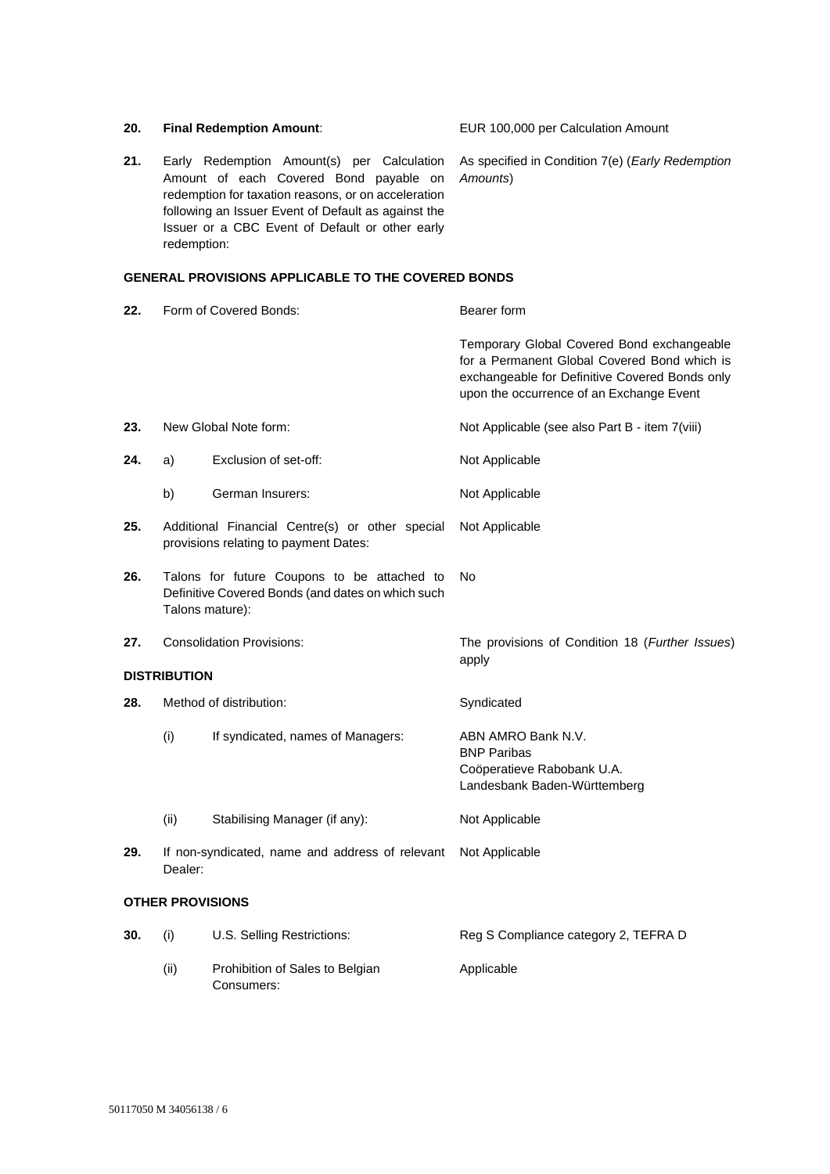| 20.                     |                                  | <b>Final Redemption Amount:</b>                                                                                                                                                                                                                       | EUR 100,000 per Calculation Amount                                                                                                                                                       |
|-------------------------|----------------------------------|-------------------------------------------------------------------------------------------------------------------------------------------------------------------------------------------------------------------------------------------------------|------------------------------------------------------------------------------------------------------------------------------------------------------------------------------------------|
| 21.                     | redemption:                      | Early Redemption Amount(s) per Calculation<br>Amount of each Covered Bond payable on<br>redemption for taxation reasons, or on acceleration<br>following an Issuer Event of Default as against the<br>Issuer or a CBC Event of Default or other early | As specified in Condition 7(e) (Early Redemption<br>Amounts)                                                                                                                             |
|                         |                                  | <b>GENERAL PROVISIONS APPLICABLE TO THE COVERED BONDS</b>                                                                                                                                                                                             |                                                                                                                                                                                          |
| 22.                     | Form of Covered Bonds:           |                                                                                                                                                                                                                                                       | Bearer form                                                                                                                                                                              |
|                         |                                  |                                                                                                                                                                                                                                                       | Temporary Global Covered Bond exchangeable<br>for a Permanent Global Covered Bond which is<br>exchangeable for Definitive Covered Bonds only<br>upon the occurrence of an Exchange Event |
| 23.                     |                                  | New Global Note form:                                                                                                                                                                                                                                 | Not Applicable (see also Part B - item 7(viii)                                                                                                                                           |
| 24.                     | a)                               | Exclusion of set-off:                                                                                                                                                                                                                                 | Not Applicable                                                                                                                                                                           |
|                         | b)                               | German Insurers:                                                                                                                                                                                                                                      | Not Applicable                                                                                                                                                                           |
| 25.                     |                                  | Additional Financial Centre(s) or other special<br>provisions relating to payment Dates:                                                                                                                                                              | Not Applicable                                                                                                                                                                           |
| 26.                     | Talons mature):                  | Talons for future Coupons to be attached to<br>Definitive Covered Bonds (and dates on which such                                                                                                                                                      | No.                                                                                                                                                                                      |
| 27.                     | <b>Consolidation Provisions:</b> |                                                                                                                                                                                                                                                       | The provisions of Condition 18 (Further Issues)<br>apply                                                                                                                                 |
| <b>DISTRIBUTION</b>     |                                  |                                                                                                                                                                                                                                                       |                                                                                                                                                                                          |
| 28.                     |                                  | Method of distribution:                                                                                                                                                                                                                               | Syndicated                                                                                                                                                                               |
|                         | (i)                              | If syndicated, names of Managers:                                                                                                                                                                                                                     | ABN AMRO Bank N.V.<br><b>BNP Paribas</b><br>Coöperatieve Rabobank U.A.<br>Landesbank Baden-Württemberg                                                                                   |
|                         | (ii)                             | Stabilising Manager (if any):                                                                                                                                                                                                                         | Not Applicable                                                                                                                                                                           |
| 29.                     | Dealer:                          | If non-syndicated, name and address of relevant                                                                                                                                                                                                       | Not Applicable                                                                                                                                                                           |
| <b>OTHER PROVISIONS</b> |                                  |                                                                                                                                                                                                                                                       |                                                                                                                                                                                          |
| 30.                     | (i)                              | U.S. Selling Restrictions:                                                                                                                                                                                                                            | Reg S Compliance category 2, TEFRA D                                                                                                                                                     |
|                         | (ii)                             | Prohibition of Sales to Belgian<br>Consumers:                                                                                                                                                                                                         | Applicable                                                                                                                                                                               |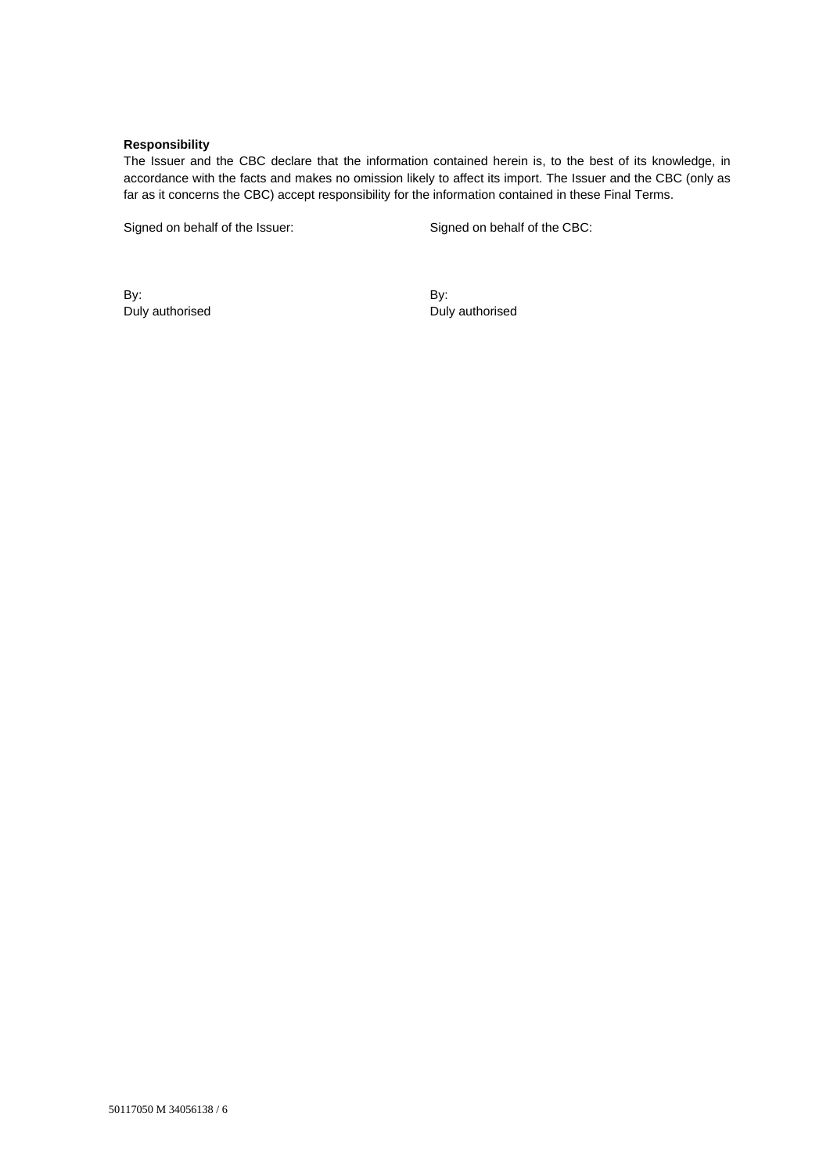## **Responsibility**

The Issuer and the CBC declare that the information contained herein is, to the best of its knowledge, in accordance with the facts and makes no omission likely to affect its import. The Issuer and the CBC (only as far as it concerns the CBC) accept responsibility for the information contained in these Final Terms.

Signed on behalf of the Issuer: Signed on behalf of the CBC:

By: Duly authorised By: Duly authorised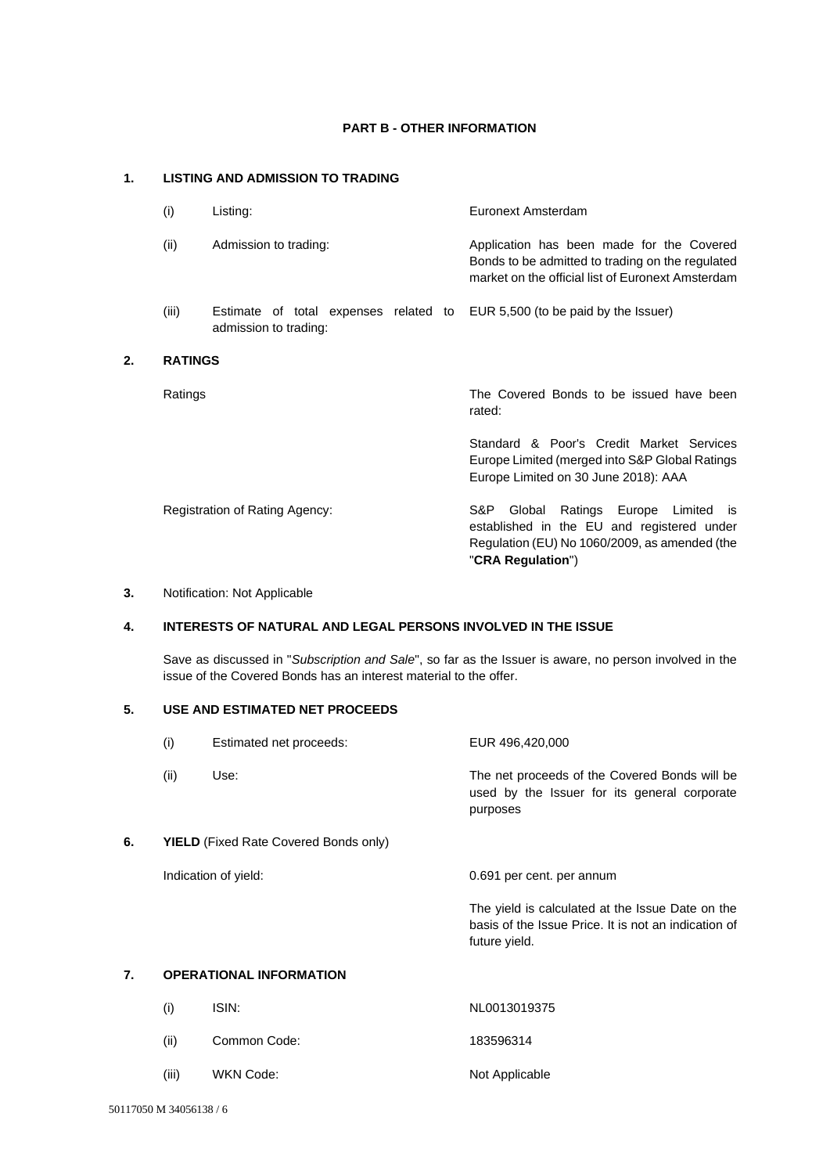## **PART B - OTHER INFORMATION**

# **1. LISTING AND ADMISSION TO TRADING**

| (i)            | Listing:                                                                                            | Euronext Amsterdam                                                                                                                                 |
|----------------|-----------------------------------------------------------------------------------------------------|----------------------------------------------------------------------------------------------------------------------------------------------------|
| (ii)           | Admission to trading:                                                                               | Application has been made for the Covered<br>Bonds to be admitted to trading on the regulated<br>market on the official list of Euronext Amsterdam |
| (iii)          | Estimate of total expenses related to EUR 5,500 (to be paid by the Issuer)<br>admission to trading: |                                                                                                                                                    |
| <b>RATINGS</b> |                                                                                                     |                                                                                                                                                    |
| Ratings        |                                                                                                     | The Covered Bonds to be issued have been<br>rated:                                                                                                 |
|                |                                                                                                     | Standard & Poor's Credit Market Services<br>Europe Limited (merged into S&P Global Ratings<br>Europe Limited on 30 June 2018): AAA                 |
|                | Registration of Rating Agency:                                                                      | Ratings Europe Limited<br>S&P.<br>Global<br>- IS<br>established in the EU and registered under                                                     |

## **3.** Notification: Not Applicable

**2. RATINGS**

## **4. INTERESTS OF NATURAL AND LEGAL PERSONS INVOLVED IN THE ISSUE**

Save as discussed in "*Subscription and Sale*", so far as the Issuer is aware, no person involved in the issue of the Covered Bonds has an interest material to the offer.

Regulation (EU) No 1060/2009, as amended (the

"**CRA Regulation**")

## **5. USE AND ESTIMATED NET PROCEEDS**

|    | (i)                                          | Estimated net proceeds: | EUR 496,420,000                                                                                                           |
|----|----------------------------------------------|-------------------------|---------------------------------------------------------------------------------------------------------------------------|
|    | (ii)                                         | Use:                    | The net proceeds of the Covered Bonds will be<br>used by the Issuer for its general corporate<br>purposes                 |
| 6. | <b>YIELD</b> (Fixed Rate Covered Bonds only) |                         |                                                                                                                           |
|    |                                              | Indication of yield:    | 0.691 per cent. per annum                                                                                                 |
|    |                                              |                         | The yield is calculated at the Issue Date on the<br>basis of the Issue Price. It is not an indication of<br>future yield. |
| 7. | <b>OPERATIONAL INFORMATION</b>               |                         |                                                                                                                           |
|    | (i)                                          | ISIN:                   | NL0013019375                                                                                                              |

| (ii)  | Common Code: | 183596314      |
|-------|--------------|----------------|
| (iii) | WKN Code:    | Not Applicable |